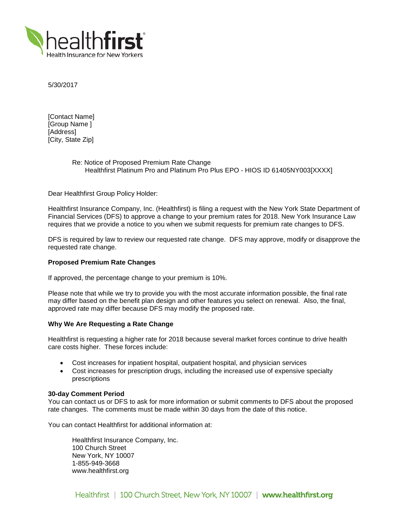

5/30/2017

[Contact Name] [Group Name ] [Address] [City, State Zip]

# Re: Notice of Proposed Premium Rate Change Healthfirst Platinum Pro and Platinum Pro Plus EPO - HIOS ID 61405NY003[XXXX]

Dear Healthfirst Group Policy Holder:

Healthfirst Insurance Company, Inc. (Healthfirst) is filing a request with the New York State Department of Financial Services (DFS) to approve a change to your premium rates for 2018. New York Insurance Law requires that we provide a notice to you when we submit requests for premium rate changes to DFS.

DFS is required by law to review our requested rate change. DFS may approve, modify or disapprove the requested rate change.

## **Proposed Premium Rate Changes**

If approved, the percentage change to your premium is 10%.

Please note that while we try to provide you with the most accurate information possible, the final rate may differ based on the benefit plan design and other features you select on renewal. Also, the final, approved rate may differ because DFS may modify the proposed rate.

# **Why We Are Requesting a Rate Change**

Healthfirst is requesting a higher rate for 2018 because several market forces continue to drive health care costs higher. These forces include:

- Cost increases for inpatient hospital, outpatient hospital, and physician services
- Cost increases for prescription drugs, including the increased use of expensive specialty prescriptions

### **30-day Comment Period**

You can contact us or DFS to ask for more information or submit comments to DFS about the proposed rate changes. The comments must be made within 30 days from the date of this notice.

You can contact Healthfirst for additional information at:

Healthfirst Insurance Company, Inc. 100 Church Street New York, NY 10007 1-855-949-3668 www.healthfirst.org